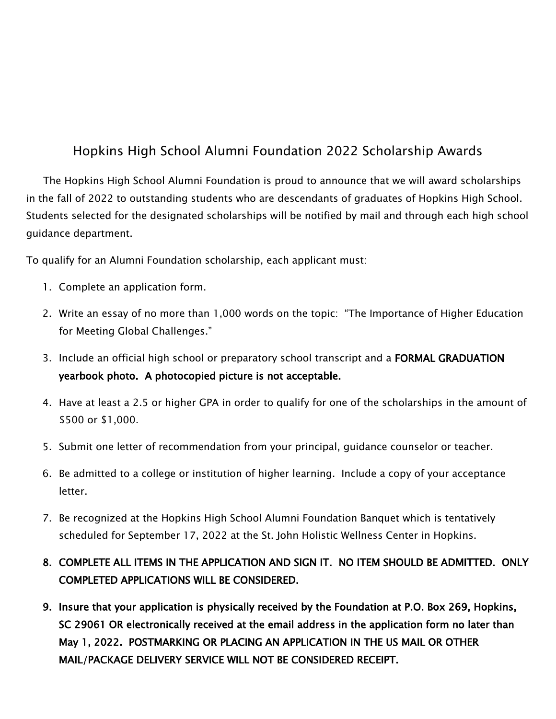## Hopkins High School Alumni Foundation 2022 Scholarship Awards

The Hopkins High School Alumni Foundation is proud to announce that we will award scholarships in the fall of 2022 to outstanding students who are descendants of graduates of Hopkins High School. Students selected for the designated scholarships will be notified by mail and through each high school quidance department.

To qualify for an Alumni Foundation scholarship, each applicant must:

- 1. Complete an application form.
- 2. Write an essay of no more than 1,000 words on the topic: "The Importance of Higher Education for Meeting Global Challenges."
- 3. Include an official high school or preparatory school transcript and a FORMAL GRADUATION yearbook photo. A photocopied picture is not acceptable.
- 4. Have at least a 2.5 or higher GPA in order to qualify for one of the scholarships in the amount of \$500 or \$1,000.
- 5. Submit one letter of recommendation from your principal, guidance counselor or teacher.
- 6. Be admitted to a college or institution of higher learning. Include a copy of your acceptance letter.
- 7. Be recognized at the Hopkins High School Alumni Foundation Banquet which is tentatively scheduled for September 17, 2022 at the St. John Holistic Wellness Center in Hopkins.

## 8. COMPLETE ALL ITEMS IN THE APPLICATION AND SIGN IT. NO ITEM SHOULD BE ADMITTED. ONLY **COMPLETED APPLICATIONS WILL BE CONSIDERED.**

9. Insure that your application is physically received by the Foundation at P.O. Box 269, Hopkins, SC 29061 OR electronically received at the email address in the application form no later than May 1, 2022. POSTMARKING OR PLACING AN APPLICATION IN THE US MAIL OR OTHER MAIL/PACKAGE DELIVERY SERVICE WILL NOT BE CONSIDERED RECEIPT.